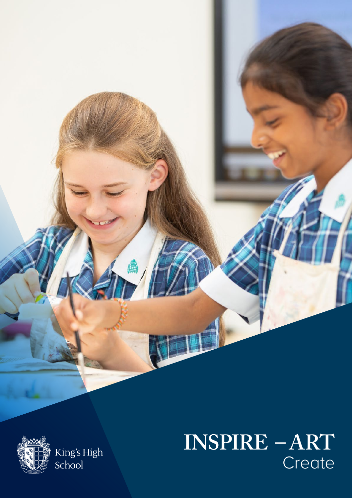

King's High School

# **INSPIRE - ART** Create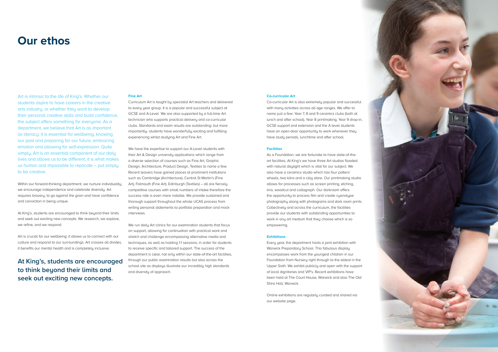#### **Co-curricular Art**

Co-curricular Art is also extremely popular and successful with many activities across all age ranges. We offer to name just a few: Year 7, 8 and 9 ceramics clubs (both at lunch and after school), Year 8 printmaking, Year 9 drop-in, GCSE support and extension and the A level students have an open-door opportunity to work whenever they have study periods, lunchtime and after school.

# **Facilities**

As a Foundation, we are fortunate to have state-of-theart facilities. At King's we have three Art studios flooded with natural daylight which is vital for our subject. We also have a ceramics studio which has four potters' wheels, two kilns and a clay store. Our printmaking studio allows for processes such as screen printing, etching, lino, woodcut and collagraph. Our darkroom offers the opportunity to process film and create cyanotype photography along with photograms and dark room prints. Collectively and across the curriculum, the facilities provide our students with outstanding opportunities to work in any art medium that they choose which is so empowering.

# **Exhibitions**

Every year, the department hosts a joint exhibition with Warwick Preparatory School. This fabulous display encompasses work from the youngest children in our Foundation from Nursery right through to the eldest in the Upper Sixth. We exhibit publicly and open with the support of local dignitaries and VIP's. Recent exhibitions have been held at The Court House, Warwick and also The Old Shire Hall, Warwick.

Online exhibitions are regularly curated and shared via our website page.



# **Our ethos**

Art is intrinsic to the life of King's. Whether our students aspire to have careers in the creative arts industry, or whether they want to develop their personal creative skills and build confidence, the subject offers something for everyone. As a department, we believe that Art is as important as literacy; it is essential for wellbeing, knowing our past and preparing for our future, embracing emotion and allowing for self-expression. Quite simply, Art is an essential component of our daily lives and allows us to be different, it is what makes us human and impossible to replicate – put simply to be creative.

Within our forward-thinking department, we nurture individuality, we encourage independence and celebrate diversity. Art requires bravery; to go against the grain and have confidence and conviction in being unique.

At King's, students are encouraged to think beyond their limits and seek out exciting new concepts. We research, we explore, we refine, and we respond.

Art is crucial for our wellbeing; it allows us to connect with our culture and respond to our surroundings. Art crosses all divides, it benefits our mental health and is completely inclusive.

**At King's, students are encouraged to think beyond their limits and seek out exciting new concepts.** 

# **Fine Art**

Curriculum Art is taught by specialist Art teachers and delivered to every year group. It is a popular and successful subject at GCSE and A-Level We are also supported by a full-time Art technician who supports practical delivery and co-curricular clubs. Standards and exam results are outstanding: but more importantly- students have wonderfully exciting and fulfilling experiencing whilst studying Art and Fine Art.

We have the expertise to support our A-Level students with their Art & Design university applications which range from a diverse selection of courses such as Fine Art, Graphic Design, Architecture, Product Design, Textiles to name a few. Recent leavers have gained places at prominent institutions such as Cambridge (Architecture), Central St Martin's (Fine Art), Falmouth (Fine Art), Edinburgh (Textiles) – all are fiercely competitive courses with small numbers of intake therefore the success rate is even more notable. We provide sustained and thorough support throughout the whole UCAS process from writing personal statements to portfolio preparation and mock interviews.

We run daily Art clinics for our examination students that focus on support, allowing for continuation with practical work and stretch and challenge encompassing alternative media and techniques, as well as holding 1:1 sessions, in order for students to receive specific and tailored support. The success of the department is clear, not only within our state-of-the-art facilities, through our public examination results but also across the school site as displays illustrate our incredibly high standards and diversity of approach.